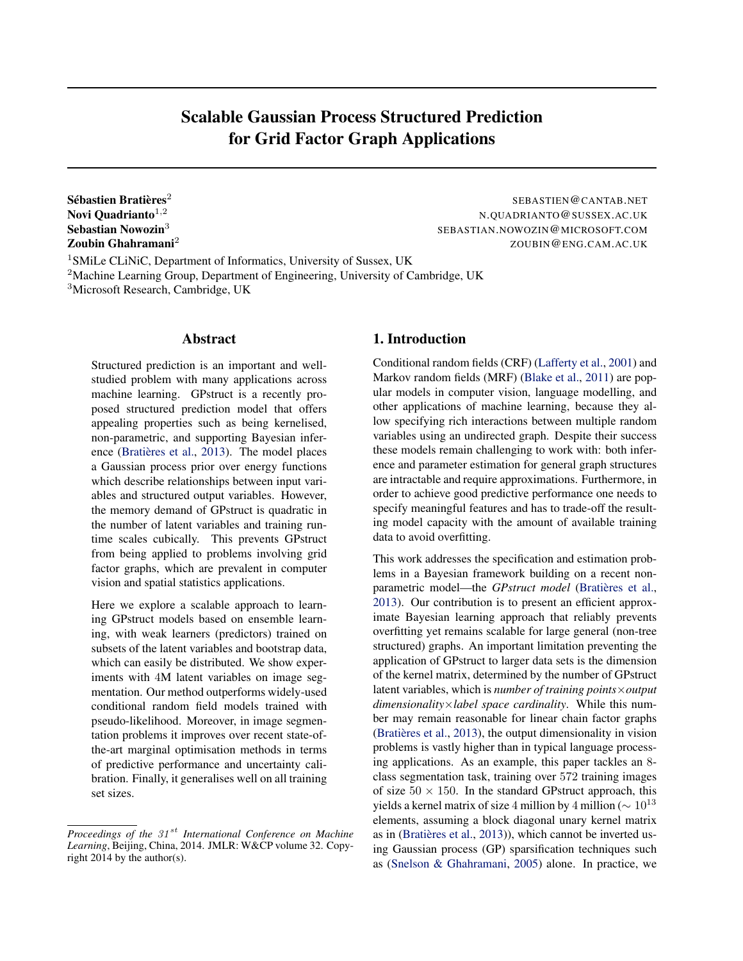# Scalable Gaussian Process Structured Prediction for Grid Factor Graph Applications

Sébastien Bratières $^2$ Sebastian Nowozin<sup>3</sup>

SEBASTIEN@CANTAB.NET Novi Quadrianto<sup>1,2</sup> N.QUADRIANTO@SUSSEX.AC.UK SEBASTIAN.NOWOZIN@MICROSOFT.COM **Zoubin Ghahramani<sup>2</sup>** ZOUBIN@ENG.CAM.AC.UK

<sup>1</sup>SMiLe CLiNiC, Department of Informatics, University of Sussex, UK <sup>2</sup>Machine Learning Group, Department of Engineering, University of Cambridge, UK <sup>3</sup>Microsoft Research, Cambridge, UK

# Abstract

Structured prediction is an important and wellstudied problem with many applications across machine learning. GPstruct is a recently proposed structured prediction model that offers appealing properties such as being kernelised, non-parametric, and supporting Bayesian infer-ence (Bratières et al., [2013\)](#page-8-0). The model places a Gaussian process prior over energy functions which describe relationships between input variables and structured output variables. However, the memory demand of GPstruct is quadratic in the number of latent variables and training runtime scales cubically. This prevents GPstruct from being applied to problems involving grid factor graphs, which are prevalent in computer vision and spatial statistics applications.

Here we explore a scalable approach to learning GPstruct models based on ensemble learning, with weak learners (predictors) trained on subsets of the latent variables and bootstrap data, which can easily be distributed. We show experiments with 4M latent variables on image segmentation. Our method outperforms widely-used conditional random field models trained with pseudo-likelihood. Moreover, in image segmentation problems it improves over recent state-ofthe-art marginal optimisation methods in terms of predictive performance and uncertainty calibration. Finally, it generalises well on all training set sizes.

# 1. Introduction

Conditional random fields (CRF) [\(Lafferty et al.,](#page-8-0) [2001\)](#page-8-0) and Markov random fields (MRF) [\(Blake et al.,](#page-8-0) [2011\)](#page-8-0) are popular models in computer vision, language modelling, and other applications of machine learning, because they allow specifying rich interactions between multiple random variables using an undirected graph. Despite their success these models remain challenging to work with: both inference and parameter estimation for general graph structures are intractable and require approximations. Furthermore, in order to achieve good predictive performance one needs to specify meaningful features and has to trade-off the resulting model capacity with the amount of available training data to avoid overfitting.

This work addresses the specification and estimation problems in a Bayesian framework building on a recent nonparametric model—the *GPstruct model* (Bratières et al., [2013\)](#page-8-0). Our contribution is to present an efficient approximate Bayesian learning approach that reliably prevents overfitting yet remains scalable for large general (non-tree structured) graphs. An important limitation preventing the application of GPstruct to larger data sets is the dimension of the kernel matrix, determined by the number of GPstruct latent variables, which is *number of training points*×*output dimensionality*×*label space cardinality*. While this number may remain reasonable for linear chain factor graphs (Bratières et al.,  $2013$ ), the output dimensionality in vision problems is vastly higher than in typical language processing applications. As an example, this paper tackles an 8 class segmentation task, training over 572 training images of size  $50 \times 150$ . In the standard GPstruct approach, this yields a kernel matrix of size 4 million by 4 million ( $∼ 10^{13}$ ) elements, assuming a block diagonal unary kernel matrix as in (Bratières et al., [2013\)](#page-8-0)), which cannot be inverted using Gaussian process (GP) sparsification techniques such as [\(Snelson & Ghahramani,](#page-8-0) [2005\)](#page-8-0) alone. In practice, we

*Proceedings of the 31<sup>st</sup> International Conference on Machine Learning*, Beijing, China, 2014. JMLR: W&CP volume 32. Copyright 2014 by the author(s).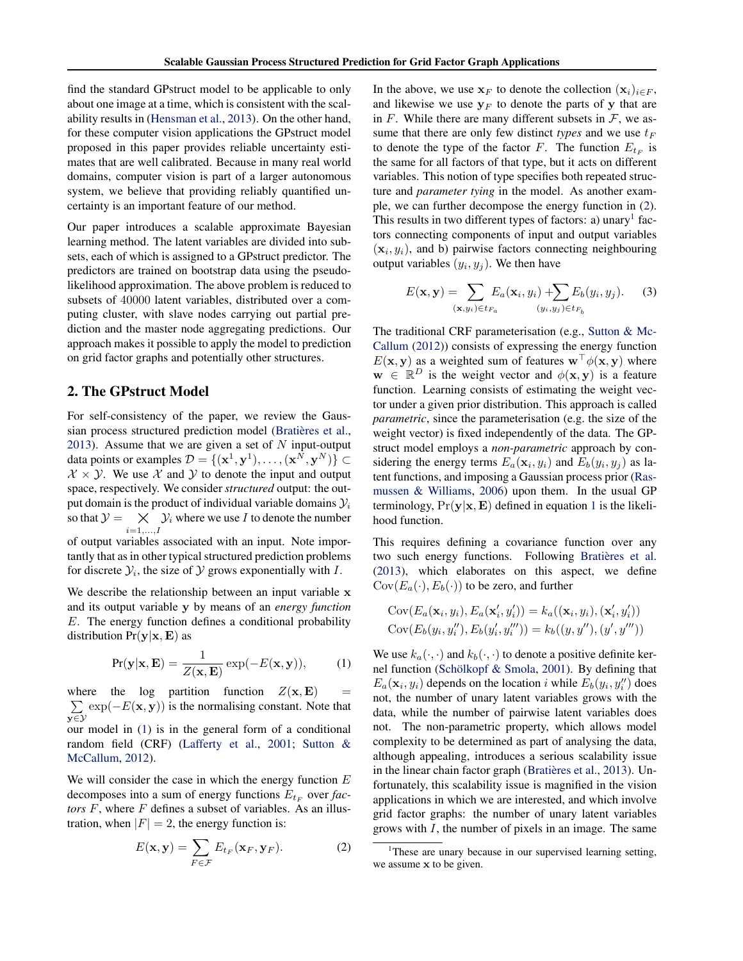<span id="page-1-0"></span>find the standard GPstruct model to be applicable to only about one image at a time, which is consistent with the scalability results in [\(Hensman et al.,](#page-8-0) [2013\)](#page-8-0). On the other hand, for these computer vision applications the GPstruct model proposed in this paper provides reliable uncertainty estimates that are well calibrated. Because in many real world domains, computer vision is part of a larger autonomous system, we believe that providing reliably quantified uncertainty is an important feature of our method.

Our paper introduces a scalable approximate Bayesian learning method. The latent variables are divided into subsets, each of which is assigned to a GPstruct predictor. The predictors are trained on bootstrap data using the pseudolikelihood approximation. The above problem is reduced to subsets of 40000 latent variables, distributed over a computing cluster, with slave nodes carrying out partial prediction and the master node aggregating predictions. Our approach makes it possible to apply the model to prediction on grid factor graphs and potentially other structures.

# 2. The GPstruct Model

For self-consistency of the paper, we review the Gaussian process structured prediction model (Bratières et al., [2013\)](#page-8-0). Assume that we are given a set of  $N$  input-output data points or examples  $\mathcal{D} = \{(\mathbf{x}^1, \mathbf{y}^1), \dots, (\mathbf{x}^N, \mathbf{y}^N)\} \subset$  $X \times Y$ . We use X and Y to denote the input and output space, respectively. We consider *structured* output: the output domain is the product of individual variable domains  $\mathcal{Y}_i$ so that  $\mathcal{Y} = \bigtimes_{i=1,\dots,I} \mathcal{Y}_i$  where we use I to denote the number  $i=1,\ldots,I$ 

of output variables associated with an input. Note importantly that as in other typical structured prediction problems for discrete  $\mathcal{Y}_i$ , the size of  $\mathcal Y$  grows exponentially with  $I$ .

We describe the relationship between an input variable x and its output variable y by means of an *energy function* E. The energy function defines a conditional probability distribution  $Pr(y|\mathbf{x}, \mathbf{E})$  as

$$
Pr(\mathbf{y}|\mathbf{x}, \mathbf{E}) = \frac{1}{Z(\mathbf{x}, \mathbf{E})} exp(-E(\mathbf{x}, \mathbf{y})),
$$
 (1)

where the log partition function  $Z(\mathbf{x}, \mathbf{E})$  =  $\sum_{n=1}^{\infty} \exp(-E(\mathbf{x}, \mathbf{y}))$  is the normalising constant. Note that y∈Y our model in (1) is in the general form of a conditional

random field (CRF) [\(Lafferty et al.,](#page-8-0) [2001;](#page-8-0) [Sutton &](#page-8-0) [McCallum,](#page-8-0) [2012\)](#page-8-0).

We will consider the case in which the energy function  $E$ decomposes into a sum of energy functions  $E_{t_F}$  over *factors* F, where F defines a subset of variables. As an illustration, when  $|F| = 2$ , the energy function is:

$$
E(\mathbf{x}, \mathbf{y}) = \sum_{F \in \mathcal{F}} E_{t_F}(\mathbf{x}_F, \mathbf{y}_F).
$$
 (2)

In the above, we use  $x_F$  to denote the collection  $(x_i)_{i \in F}$ , and likewise we use  $y_F$  to denote the parts of y that are in  $F$ . While there are many different subsets in  $F$ , we assume that there are only few distinct *types* and we use  $t_F$ to denote the type of the factor F. The function  $E_{t_F}$  is the same for all factors of that type, but it acts on different variables. This notion of type specifies both repeated structure and *parameter tying* in the model. As another example, we can further decompose the energy function in (2). This results in two different types of factors: a) unary<sup>1</sup> factors connecting components of input and output variables  $(\mathbf{x}_i, y_i)$ , and b) pairwise factors connecting neighbouring output variables  $(y_i, y_j)$ . We then have

$$
E(\mathbf{x}, \mathbf{y}) = \sum_{(\mathbf{x}, y_i) \in t_{Fa}} E_a(\mathbf{x}_i, y_i) + \sum_{(y_i, y_j) \in t_{F_b}} E_b(y_i, y_j).
$$
 (3)

The traditional CRF parameterisation (e.g., [Sutton & Mc-](#page-8-0)[Callum](#page-8-0) [\(2012\)](#page-8-0)) consists of expressing the energy function  $E(\mathbf{x}, \mathbf{y})$  as a weighted sum of features  $\mathbf{w}^\top \phi(\mathbf{x}, \mathbf{y})$  where  $\mathbf{w} \in \mathbb{R}^D$  is the weight vector and  $\phi(\mathbf{x}, \mathbf{y})$  is a feature function. Learning consists of estimating the weight vector under a given prior distribution. This approach is called *parametric*, since the parameterisation (e.g. the size of the weight vector) is fixed independently of the data. The GPstruct model employs a *non-parametric* approach by considering the energy terms  $E_a(\mathbf{x}_i, y_i)$  and  $E_b(y_i, y_j)$  as latent functions, and imposing a Gaussian process prior [\(Ras](#page-8-0)[mussen & Williams,](#page-8-0) [2006\)](#page-8-0) upon them. In the usual GP terminology,  $Pr(y|\mathbf{x}, \mathbf{E})$  defined in equation 1 is the likelihood function.

This requires defining a covariance function over any two such energy functions. Following Bratières et al. [\(2013\)](#page-8-0), which elaborates on this aspect, we define  $Cov(E_a(\cdot), E_b(\cdot))$  to be zero, and further

$$
Cov(E_a(\mathbf{x}_i, y_i), E_a(\mathbf{x}'_i, y'_i)) = k_a((\mathbf{x}_i, y_i), (\mathbf{x}'_i, y'_i))
$$
  
\n
$$
Cov(E_b(y_i, y''_i), E_b(y'_i, y''_i)) = k_b((y, y''), (y', y'''))
$$

We use  $k_a(\cdot, \cdot)$  and  $k_b(\cdot, \cdot)$  to denote a positive definite ker-nel function (Schölkopf & Smola, [2001\)](#page-8-0). By defining that  $E_a$ ( $\mathbf{x}_i$ ,  $y_i$ ) depends on the location i while  $E_b$ ( $y_i$ ,  $y''_i$ ) does not, the number of unary latent variables grows with the data, while the number of pairwise latent variables does not. The non-parametric property, which allows model complexity to be determined as part of analysing the data, although appealing, introduces a serious scalability issue in the linear chain factor graph (Bratières et al., [2013\)](#page-8-0). Unfortunately, this scalability issue is magnified in the vision applications in which we are interested, and which involve grid factor graphs: the number of unary latent variables grows with I, the number of pixels in an image. The same

<sup>&</sup>lt;sup>1</sup>These are unary because in our supervised learning setting, we assume x to be given.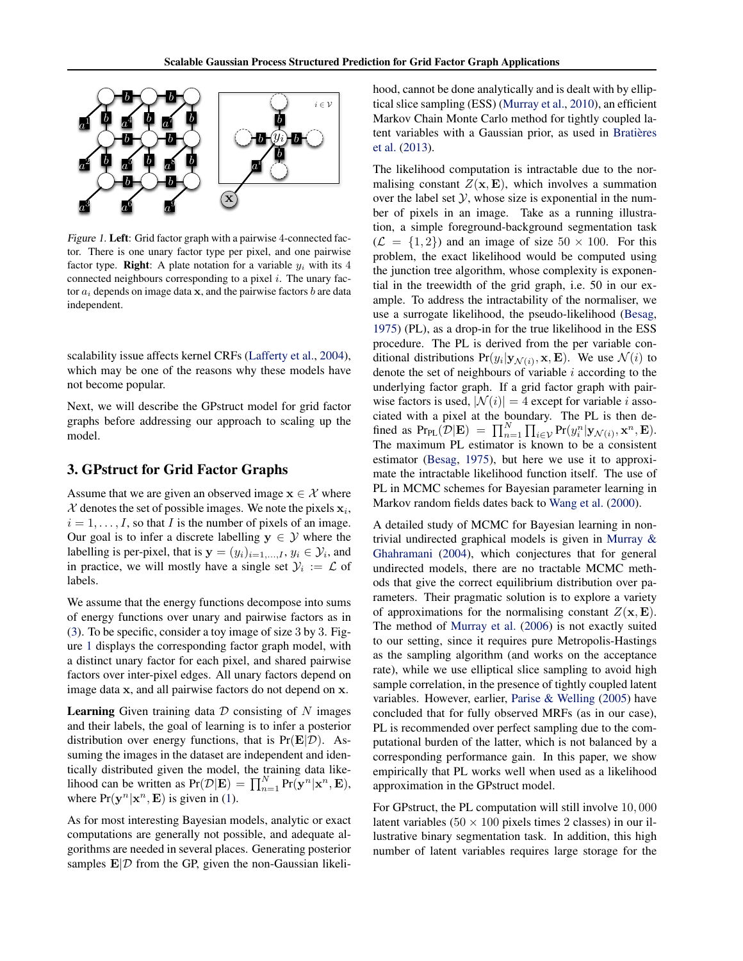<span id="page-2-0"></span>

Figure 1. Left: Grid factor graph with a pairwise 4-connected factor. There is one unary factor type per pixel, and one pairwise factor type. **Right**: A plate notation for a variable  $y_i$  with its 4 connected neighbours corresponding to a pixel  $i$ . The unary factor  $a_i$  depends on image data x, and the pairwise factors b are data independent.

scalability issue affects kernel CRFs [\(Lafferty et al.,](#page-8-0) [2004\)](#page-8-0), which may be one of the reasons why these models have not become popular.

Next, we will describe the GPstruct model for grid factor graphs before addressing our approach to scaling up the model.

# 3. GPstruct for Grid Factor Graphs

Assume that we are given an observed image  $x \in \mathcal{X}$  where  $\mathcal X$  denotes the set of possible images. We note the pixels  $\mathbf x_i$ ,  $i = 1, \ldots, I$ , so that I is the number of pixels of an image. Our goal is to infer a discrete labelling  $y \in \mathcal{Y}$  where the labelling is per-pixel, that is  $y = (y_i)_{i=1,\dots,I}, y_i \in \mathcal{Y}_i$ , and in practice, we will mostly have a single set  $\mathcal{Y}_i := \mathcal{L}$  of labels.

We assume that the energy functions decompose into sums of energy functions over unary and pairwise factors as in [\(3\)](#page-1-0). To be specific, consider a toy image of size 3 by 3. Figure 1 displays the corresponding factor graph model, with a distinct unary factor for each pixel, and shared pairwise factors over inter-pixel edges. All unary factors depend on image data x, and all pairwise factors do not depend on x.

**Learning** Given training data  $D$  consisting of  $N$  images and their labels, the goal of learning is to infer a posterior distribution over energy functions, that is  $Pr(E|D)$ . Assuming the images in the dataset are independent and identically distributed given the model, the training data likelihood can be written as  $Pr(\mathcal{D}|\mathbf{E}) = \prod_{n=1}^{N} Pr(\mathbf{y}^n|\mathbf{x}^n, \mathbf{E}),$ where  $Pr(\mathbf{y}^n | \mathbf{x}^n, \mathbf{E})$  is given in [\(1\)](#page-1-0).

As for most interesting Bayesian models, analytic or exact computations are generally not possible, and adequate algorithms are needed in several places. Generating posterior samples  $E/D$  from the GP, given the non-Gaussian likelihood, cannot be done analytically and is dealt with by elliptical slice sampling (ESS) [\(Murray et al.,](#page-8-0) [2010\)](#page-8-0), an efficient Markov Chain Monte Carlo method for tightly coupled latent variables with a Gaussian prior, as used in Bratières [et al.](#page-8-0) [\(2013\)](#page-8-0).

The likelihood computation is intractable due to the normalising constant  $Z(\mathbf{x}, \mathbf{E})$ , which involves a summation over the label set  $Y$ , whose size is exponential in the number of pixels in an image. Take as a running illustration, a simple foreground-background segmentation task  $(\mathcal{L} = \{1, 2\})$  and an image of size  $50 \times 100$ . For this problem, the exact likelihood would be computed using the junction tree algorithm, whose complexity is exponential in the treewidth of the grid graph, i.e. 50 in our example. To address the intractability of the normaliser, we use a surrogate likelihood, the pseudo-likelihood [\(Besag,](#page-8-0) [1975\)](#page-8-0) (PL), as a drop-in for the true likelihood in the ESS procedure. The PL is derived from the per variable conditional distributions  $Pr(y_i | \mathbf{y}_{\mathcal{N}(i)}, \mathbf{x}, \mathbf{E})$ . We use  $\mathcal{N}(i)$  to denote the set of neighbours of variable  $i$  according to the underlying factor graph. If a grid factor graph with pairwise factors is used,  $|\mathcal{N}(i)| = 4$  except for variable i associated with a pixel at the boundary. The PL is then defined as  $Pr_{PL}(\mathcal{D}|\mathbf{E}) = \prod_{n=1}^{N} \prod_{i \in \mathcal{V}} Pr(y_i^n | \mathbf{y}_{\mathcal{N}(i)}, \mathbf{x}^n, \mathbf{E}).$ The maximum PL estimator is known to be a consistent estimator [\(Besag,](#page-8-0) [1975\)](#page-8-0), but here we use it to approximate the intractable likelihood function itself. The use of PL in MCMC schemes for Bayesian parameter learning in Markov random fields dates back to [Wang et al.](#page-8-0) [\(2000\)](#page-8-0).

A detailed study of MCMC for Bayesian learning in nontrivial undirected graphical models is given in [Murray &](#page-8-0) [Ghahramani](#page-8-0) [\(2004\)](#page-8-0), which conjectures that for general undirected models, there are no tractable MCMC methods that give the correct equilibrium distribution over parameters. Their pragmatic solution is to explore a variety of approximations for the normalising constant  $Z(\mathbf{x}, \mathbf{E})$ . The method of [Murray et al.](#page-8-0) [\(2006\)](#page-8-0) is not exactly suited to our setting, since it requires pure Metropolis-Hastings as the sampling algorithm (and works on the acceptance rate), while we use elliptical slice sampling to avoid high sample correlation, in the presence of tightly coupled latent variables. However, earlier, [Parise & Welling](#page-8-0) [\(2005\)](#page-8-0) have concluded that for fully observed MRFs (as in our case), PL is recommended over perfect sampling due to the computational burden of the latter, which is not balanced by a corresponding performance gain. In this paper, we show empirically that PL works well when used as a likelihood approximation in the GPstruct model.

For GPstruct, the PL computation will still involve 10, 000 latent variables ( $50 \times 100$  pixels times 2 classes) in our illustrative binary segmentation task. In addition, this high number of latent variables requires large storage for the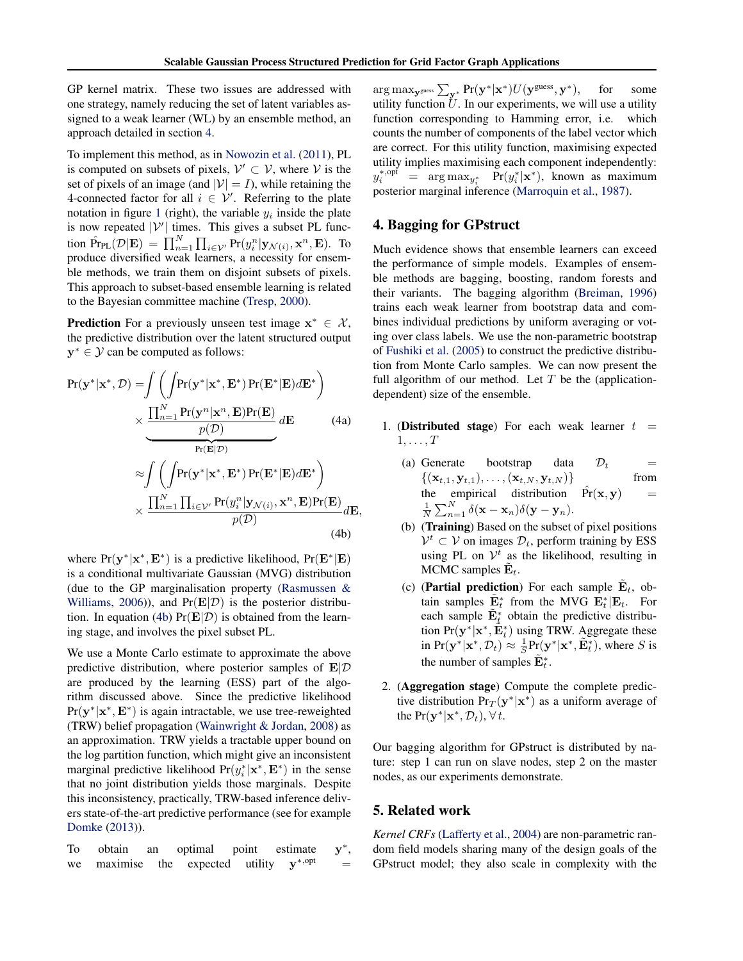<span id="page-3-0"></span>GP kernel matrix. These two issues are addressed with one strategy, namely reducing the set of latent variables assigned to a weak learner (WL) by an ensemble method, an approach detailed in section 4.

To implement this method, as in [Nowozin et al.](#page-8-0) [\(2011\)](#page-8-0), PL is computed on subsets of pixels,  $\mathcal{V}' \subset \mathcal{V}$ , where  $\mathcal{V}$  is the set of pixels of an image (and  $|V| = I$ ), while retaining the 4-connected factor for all  $i \in V'$ . Referring to the plate notation in figure [1](#page-2-0) (right), the variable  $y_i$  inside the plate is now repeated  $|V'|$  times. This gives a subset PL function  $\hat{Pr}_{PL}(\mathcal{D}|\mathbf{E}) = \prod_{n=1}^{N} \prod_{i \in \mathcal{V}'} Pr(y_i^n | \mathbf{y}_{\mathcal{N}(i)}, \mathbf{x}^n, \mathbf{E}).$  To produce diversified weak learners, a necessity for ensemble methods, we train them on disjoint subsets of pixels. This approach to subset-based ensemble learning is related to the Bayesian committee machine [\(Tresp,](#page-8-0) [2000\)](#page-8-0).

**Prediction** For a previously unseen test image  $x^* \in \mathcal{X}$ , the predictive distribution over the latent structured output  $y^* \in \mathcal{Y}$  can be computed as follows:

$$
Pr(\mathbf{y}^*|\mathbf{x}^*, \mathcal{D}) = \int \left( \int Pr(\mathbf{y}^*|\mathbf{x}^*, \mathbf{E}^*) Pr(\mathbf{E}^*|\mathbf{E}) d\mathbf{E}^* \right) \times \frac{\prod_{n=1}^N Pr(\mathbf{y}^n|\mathbf{x}^n, \mathbf{E}) Pr(\mathbf{E})}{p(\mathcal{D})} d\mathbf{E}
$$
(4a)  

$$
\approx \int \left( \int Pr(\mathbf{y}^*|\mathbf{x}^*, \mathbf{E}^*) Pr(\mathbf{E}^*|\mathbf{E}) d\mathbf{E}^* \right) \times \frac{\prod_{n=1}^N \prod_{i \in \mathcal{V}'} Pr(y_i^n|\mathbf{y}_{\mathcal{N}(i)}, \mathbf{x}^n, \mathbf{E}) Pr(\mathbf{E})}{p(\mathcal{D})} d\mathbf{E},
$$
(4b)

where  $Pr(y^* | x^*, E^*)$  is a predictive likelihood,  $Pr(E^* | E)$ is a conditional multivariate Gaussian (MVG) distribution (due to the GP marginalisation property [\(Rasmussen &](#page-8-0) [Williams,](#page-8-0) [2006\)](#page-8-0)), and  $Pr(E|\mathcal{D})$  is the posterior distribution. In equation (4b)  $Pr(E|\mathcal{D})$  is obtained from the learning stage, and involves the pixel subset PL.

We use a Monte Carlo estimate to approximate the above predictive distribution, where posterior samples of  $E/\mathcal{D}$ are produced by the learning (ESS) part of the algorithm discussed above. Since the predictive likelihood  $Pr(y^* | x^*, E^*)$  is again intractable, we use tree-reweighted (TRW) belief propagation [\(Wainwright & Jordan,](#page-8-0) [2008\)](#page-8-0) as an approximation. TRW yields a tractable upper bound on the log partition function, which might give an inconsistent marginal predictive likelihood  $Pr(y_i^* | \mathbf{x}^*, \mathbf{E}^*)$  in the sense that no joint distribution yields those marginals. Despite this inconsistency, practically, TRW-based inference delivers state-of-the-art predictive performance (see for example [Domke](#page-8-0) [\(2013\)](#page-8-0)).

To obtain an optimal point estimate ∗ , we maximise the expected utility  $\mathbf{v}^{*,\text{opt}} =$ 

 $\arg \max_{\mathbf{y} \in \mathbb{R}^*} \sum_{\mathbf{y}^*} \Pr(\mathbf{y}^* | \mathbf{x}^*) U(\mathbf{y}^{\text{guess}}, \mathbf{y}^*), \text{ for some } \infty$ utility function  $U$ . In our experiments, we will use a utility function corresponding to Hamming error, i.e. which counts the number of components of the label vector which are correct. For this utility function, maximising expected utility implies maximising each component independently:  $y_i^{*,\text{opt}} = \arg \max_{y_i^*} \Pr(y_i^*|\mathbf{x}^*),$  known as maximum posterior marginal inference [\(Marroquin et al.,](#page-8-0) [1987\)](#page-8-0).

# 4. Bagging for GPstruct

Much evidence shows that ensemble learners can exceed the performance of simple models. Examples of ensemble methods are bagging, boosting, random forests and their variants. The bagging algorithm [\(Breiman,](#page-8-0) [1996\)](#page-8-0) trains each weak learner from bootstrap data and combines individual predictions by uniform averaging or voting over class labels. We use the non-parametric bootstrap of [Fushiki et al.](#page-8-0) [\(2005\)](#page-8-0) to construct the predictive distribution from Monte Carlo samples. We can now present the full algorithm of our method. Let  $T$  be the (applicationdependent) size of the ensemble.

- 1. (Distributed stage) For each weak learner  $t =$  $1, \ldots, T$ 
	- (a) Generate bootstrap data  $\mathcal{D}_t$  =  $\{(x_{t+1}, y_{t+1}), \dots, (x_{t+N}, y_{t+N})\}$  from  $\{(x_{t,1}, y_{t,1}), \ldots, (x_{t,N}, y_{t,N})\}$  from<br>the empirical distribution  $\hat{Pr}(x, y)$  = the empirical distribution  $\hat{Pr}(\mathbf{x}, \mathbf{y})$  =  $\frac{1}{N}\sum_{n=1}^{N}\delta(\mathbf{x}-\mathbf{x}_n)\delta(\mathbf{y}-\mathbf{y}_n).$
	- (b) (Training) Based on the subset of pixel positions  $\mathcal{V}^t \subset \mathcal{V}$  on images  $\mathcal{D}_t$ , perform training by ESS using PL on  $\mathcal{V}^t$  as the likelihood, resulting in MCMC samples  $\tilde{\mathbf{E}}_t$ .
	- (c) (Partial prediction) For each sample  $\tilde{\mathbf{E}}_t$ , obtain samples  $\tilde{\mathbf{E}}_t^*$  from the MVG  $\mathbf{E}_t^*$   $\mathbf{E}_t$ . For each sample  $\tilde{\mathbf{E}}_t^*$  obtain the predictive distribution  $Pr(\mathbf{y}^*|\mathbf{x}^*, \tilde{\mathbf{E}}_t^*)$  using TRW. Aggregate these in  $Pr(\mathbf{y}^*|\mathbf{x}^*, \mathcal{D}_t) \approx \frac{1}{S} Pr(\mathbf{y}^*|\mathbf{x}^*, \tilde{\mathbf{E}}_t^*)$ , where S is the number of samples  $\tilde{\mathbf{E}}_t^*$ .
- 2. (Aggregation stage) Compute the complete predictive distribution  $Pr_T(y^*|\mathbf{x}^*)$  as a uniform average of the  $Pr(\mathbf{y}^*|\mathbf{x}^*, \mathcal{D}_t), \forall t$ .

Our bagging algorithm for GPstruct is distributed by nature: step 1 can run on slave nodes, step 2 on the master nodes, as our experiments demonstrate.

## 5. Related work

*Kernel CRFs* [\(Lafferty et al.,](#page-8-0) [2004\)](#page-8-0) are non-parametric random field models sharing many of the design goals of the GPstruct model; they also scale in complexity with the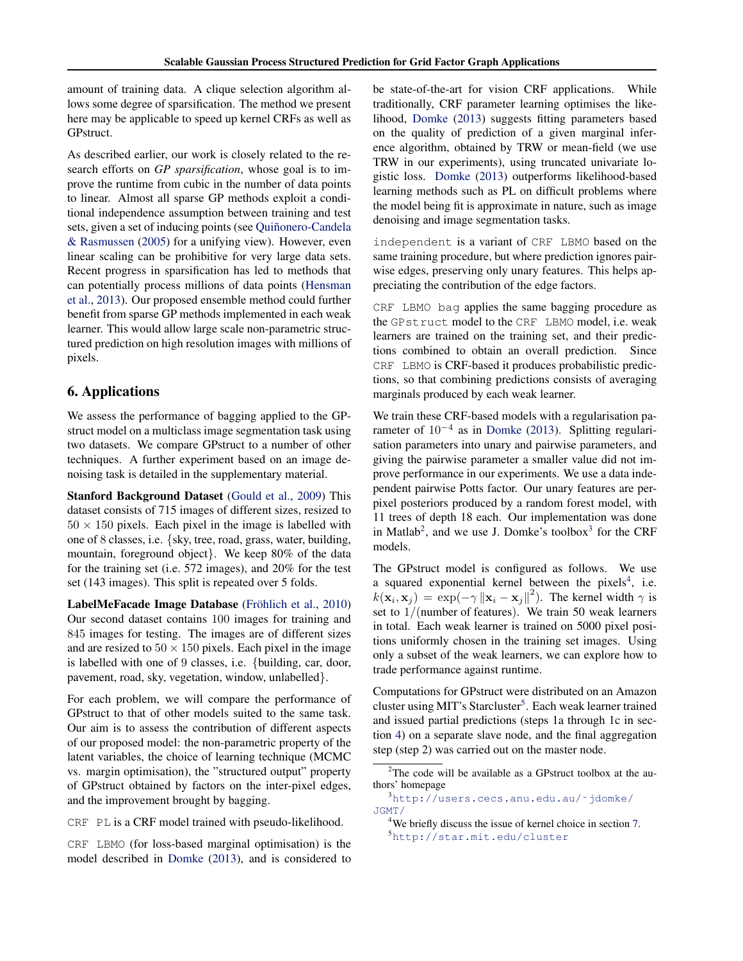amount of training data. A clique selection algorithm allows some degree of sparsification. The method we present here may be applicable to speed up kernel CRFs as well as GPstruct.

As described earlier, our work is closely related to the research efforts on *GP sparsification*, whose goal is to improve the runtime from cubic in the number of data points to linear. Almost all sparse GP methods exploit a conditional independence assumption between training and test sets, given a set of inducing points (see Quiñonero-Candela [& Rasmussen](#page-8-0) [\(2005\)](#page-8-0) for a unifying view). However, even linear scaling can be prohibitive for very large data sets. Recent progress in sparsification has led to methods that can potentially process millions of data points [\(Hensman](#page-8-0) [et al.,](#page-8-0) [2013\)](#page-8-0). Our proposed ensemble method could further benefit from sparse GP methods implemented in each weak learner. This would allow large scale non-parametric structured prediction on high resolution images with millions of pixels.

# 6. Applications

We assess the performance of bagging applied to the GPstruct model on a multiclass image segmentation task using two datasets. We compare GPstruct to a number of other techniques. A further experiment based on an image denoising task is detailed in the supplementary material.

Stanford Background Dataset [\(Gould et al.,](#page-8-0) [2009\)](#page-8-0) This dataset consists of 715 images of different sizes, resized to  $50 \times 150$  pixels. Each pixel in the image is labelled with one of 8 classes, i.e. {sky, tree, road, grass, water, building, mountain, foreground object}. We keep 80% of the data for the training set (i.e. 572 images), and 20% for the test set (143 images). This split is repeated over 5 folds.

LabelMeFacade Image Database (Fröhlich et al., [2010\)](#page-8-0) Our second dataset contains 100 images for training and 845 images for testing. The images are of different sizes and are resized to  $50 \times 150$  pixels. Each pixel in the image is labelled with one of 9 classes, i.e. {building, car, door, pavement, road, sky, vegetation, window, unlabelled}.

For each problem, we will compare the performance of GPstruct to that of other models suited to the same task. Our aim is to assess the contribution of different aspects of our proposed model: the non-parametric property of the latent variables, the choice of learning technique (MCMC vs. margin optimisation), the "structured output" property of GPstruct obtained by factors on the inter-pixel edges, and the improvement brought by bagging.

CRF PL is a CRF model trained with pseudo-likelihood.

CRF LBMO (for loss-based marginal optimisation) is the model described in [Domke](#page-8-0) [\(2013\)](#page-8-0), and is considered to be state-of-the-art for vision CRF applications. While traditionally, CRF parameter learning optimises the likelihood, [Domke](#page-8-0) [\(2013\)](#page-8-0) suggests fitting parameters based on the quality of prediction of a given marginal inference algorithm, obtained by TRW or mean-field (we use TRW in our experiments), using truncated univariate logistic loss. [Domke](#page-8-0) [\(2013\)](#page-8-0) outperforms likelihood-based learning methods such as PL on difficult problems where the model being fit is approximate in nature, such as image denoising and image segmentation tasks.

independent is a variant of CRF LBMO based on the same training procedure, but where prediction ignores pairwise edges, preserving only unary features. This helps appreciating the contribution of the edge factors.

CRF LBMO bag applies the same bagging procedure as the GPstruct model to the CRF LBMO model, i.e. weak learners are trained on the training set, and their predictions combined to obtain an overall prediction. Since CRF LBMO is CRF-based it produces probabilistic predictions, so that combining predictions consists of averaging marginals produced by each weak learner.

We train these CRF-based models with a regularisation pa-rameter of 10<sup>-4</sup> as in [Domke](#page-8-0) [\(2013\)](#page-8-0). Splitting regularisation parameters into unary and pairwise parameters, and giving the pairwise parameter a smaller value did not improve performance in our experiments. We use a data independent pairwise Potts factor. Our unary features are perpixel posteriors produced by a random forest model, with 11 trees of depth 18 each. Our implementation was done in Matlab<sup>2</sup>, and we use J. Domke's toolbox<sup>3</sup> for the CRF models.

The GPstruct model is configured as follows. We use a squared exponential kernel between the pixels<sup>4</sup>, i.e.  $k(\mathbf{x}_i, \mathbf{x}_j) = \exp(-\gamma \|\mathbf{x}_i - \mathbf{x}_j\|^2)$ . The kernel width  $\gamma$  is set to  $1/(number of features)$ . We train 50 weak learners in total. Each weak learner is trained on 5000 pixel positions uniformly chosen in the training set images. Using only a subset of the weak learners, we can explore how to trade performance against runtime.

Computations for GPstruct were distributed on an Amazon cluster using MIT's Starcluster<sup>5</sup>. Each weak learner trained and issued partial predictions (steps 1a through 1c in section [4\)](#page-3-0) on a separate slave node, and the final aggregation step (step 2) was carried out on the master node.

 $2$ The code will be available as a GPstruct toolbox at the authors' homepage

<sup>3</sup>[http://users.cecs.anu.edu.au/˜jdomke/](http://users.cecs.anu.edu.au/~jdomke/JGMT/) [JGMT/](http://users.cecs.anu.edu.au/~jdomke/JGMT/)

<sup>&</sup>lt;sup>4</sup>We briefly discuss the issue of kernel choice in section [7.](#page-6-0) <sup>5</sup><http://star.mit.edu/cluster>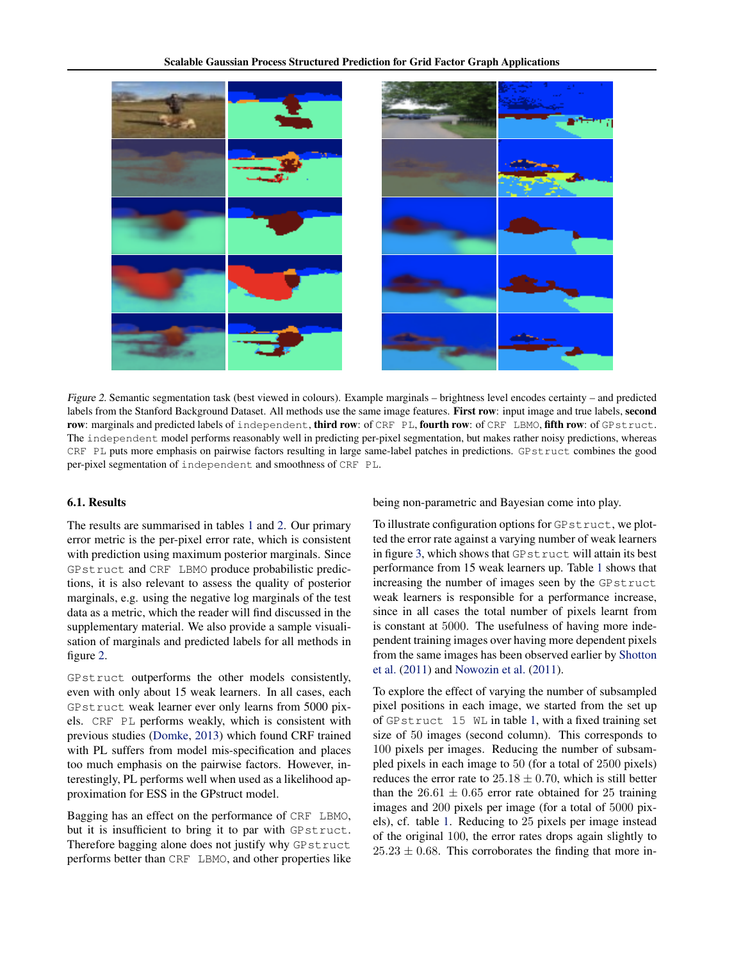

Figure 2. Semantic segmentation task (best viewed in colours). Example marginals – brightness level encodes certainty – and predicted labels from the Stanford Background Dataset. All methods use the same image features. First row: input image and true labels, second row: marginals and predicted labels of independent, third row: of CRF PL, fourth row: of CRF LBMO, fifth row: of GPstruct. The independent model performs reasonably well in predicting per-pixel segmentation, but makes rather noisy predictions, whereas CRF PL puts more emphasis on pairwise factors resulting in large same-label patches in predictions. GPstruct combines the good per-pixel segmentation of independent and smoothness of CRF PL.

#### 6.1. Results

The results are summarised in tables [1](#page-6-0) and [2.](#page-6-0) Our primary error metric is the per-pixel error rate, which is consistent with prediction using maximum posterior marginals. Since GPstruct and CRF LBMO produce probabilistic predictions, it is also relevant to assess the quality of posterior marginals, e.g. using the negative log marginals of the test data as a metric, which the reader will find discussed in the supplementary material. We also provide a sample visualisation of marginals and predicted labels for all methods in figure 2.

GPstruct outperforms the other models consistently, even with only about 15 weak learners. In all cases, each GPstruct weak learner ever only learns from 5000 pixels. CRF PL performs weakly, which is consistent with previous studies [\(Domke,](#page-8-0) [2013\)](#page-8-0) which found CRF trained with PL suffers from model mis-specification and places too much emphasis on the pairwise factors. However, interestingly, PL performs well when used as a likelihood approximation for ESS in the GPstruct model.

Bagging has an effect on the performance of CRF LBMO, but it is insufficient to bring it to par with GPstruct. Therefore bagging alone does not justify why GPstruct performs better than CRF LBMO, and other properties like being non-parametric and Bayesian come into play.

To illustrate configuration options for GPstruct, we plotted the error rate against a varying number of weak learners in figure [3,](#page-7-0) which shows that GPstruct will attain its best performance from 15 weak learners up. Table [1](#page-6-0) shows that increasing the number of images seen by the GPstruct weak learners is responsible for a performance increase, since in all cases the total number of pixels learnt from is constant at 5000. The usefulness of having more independent training images over having more dependent pixels from the same images has been observed earlier by [Shotton](#page-8-0) [et al.](#page-8-0) [\(2011\)](#page-8-0) and [Nowozin et al.](#page-8-0) [\(2011\)](#page-8-0).

To explore the effect of varying the number of subsampled pixel positions in each image, we started from the set up of GPstruct 15 WL in table [1,](#page-6-0) with a fixed training set size of 50 images (second column). This corresponds to 100 pixels per images. Reducing the number of subsampled pixels in each image to 50 (for a total of 2500 pixels) reduces the error rate to  $25.18 \pm 0.70$ , which is still better than the  $26.61 \pm 0.65$  error rate obtained for 25 training images and 200 pixels per image (for a total of 5000 pixels), cf. table [1.](#page-6-0) Reducing to 25 pixels per image instead of the original 100, the error rates drops again slightly to  $25.23 \pm 0.68$ . This corroborates the finding that more in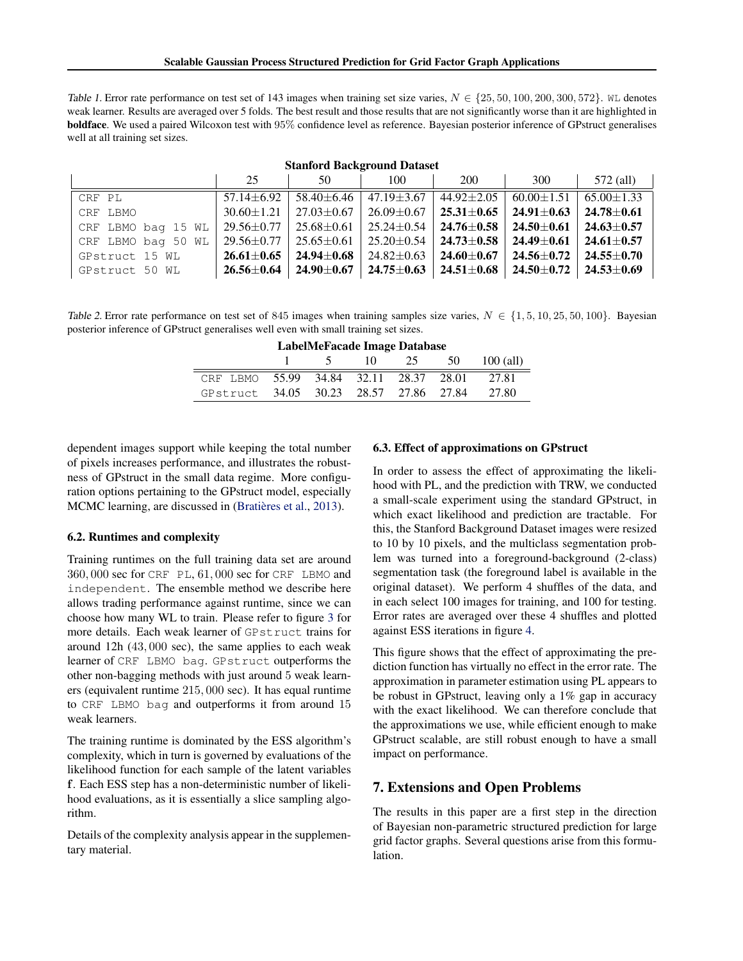<span id="page-6-0"></span>Table 1. Error rate performance on test set of 143 images when training set size varies,  $N \in \{25, 50, 100, 200, 300, 572\}$ . WL denotes weak learner. Results are averaged over 5 folds. The best result and those results that are not significantly worse than it are highlighted in boldface. We used a paired Wilcoxon test with 95% confidence level as reference. Bayesian posterior inference of GPstruct generalises well at all training set sizes.

| <b>Stanford Background Dataset</b> |                      |                  |                      |                      |                                   |                                     |  |
|------------------------------------|----------------------|------------------|----------------------|----------------------|-----------------------------------|-------------------------------------|--|
|                                    | 25                   | 50               | 100                  | <b>200</b>           | 300                               | 572 (all)                           |  |
| CRF PL                             | $57.14 \pm 6.92$     | 58.40±6.46       | $47.19 \pm 3.67$     | $44.92 \pm 2.05$     | $60.00 \pm 1.51$                  | $65.00 \pm 1.33$                    |  |
| CRF LBMO                           | $30.60 \pm 1.21$     | $27.03 \pm 0.67$ | $26.09 \pm 0.67$     | $25.31 {\pm} 0.65$   | 24.91 $\pm$ 0.63                  | $24.78 \!\pm\! 0.61$                |  |
| CRF LBMO bag 15 WL                 | 29.56±0.77           | $25.68 \pm 0.61$ | $25.24 \pm 0.54$     | $24.76 \!\pm\! 0.58$ | 24.50 $\pm$ 0.61                  | $24.63 \pm 0.57$                    |  |
| CRF LBMO bag 50 WL                 | 29.56±0.77           | $25.65 \pm 0.61$ | $25.20 \pm 0.54$     | $24.73 {\pm} 0.58$   | 24.49 $\pm 0.61$                  | $24.61 \!\pm\! 0.57$                |  |
| GPstruct 15 WL                     | $26.61 \pm 0.65$     | $24.94 \pm 0.68$ | $24.82 \pm 0.63$     | $24.60 \!\pm\! 0.67$ | $24.56 \pm 0.72$ 24.55 $\pm$ 0.70 |                                     |  |
| GPstruct 50 WL                     | $26.56 \!\pm\! 0.64$ | $24.90 \pm 0.67$ | $24.75 \!\pm\! 0.63$ | $24.51 {\pm} 0.68$   |                                   | $24.50 \pm 0.72$   24.53 $\pm$ 0.69 |  |

Table 2. Error rate performance on test set of 845 images when training samples size varies,  $N \in \{1, 5, 10, 25, 50, 100\}$ . Bayesian posterior inference of GPstruct generalises well even with small training set sizes.

|  |  |  |  |  | <b>LabelMeFacade Image Database</b> |  |  |
|--|--|--|--|--|-------------------------------------|--|--|
|--|--|--|--|--|-------------------------------------|--|--|

|                                              | $\frac{1}{5}$ |  | $10 \t 25 \t 50 \t 100 \t (all)$ |
|----------------------------------------------|---------------|--|----------------------------------|
| CRF LBMO 55.99 34.84 32.11 28.37 28.01 27.81 |               |  |                                  |
| GPstruct 34.05 30.23 28.57 27.86 27.84 27.80 |               |  |                                  |

dependent images support while keeping the total number of pixels increases performance, and illustrates the robustness of GPstruct in the small data regime. More configuration options pertaining to the GPstruct model, especially MCMC learning, are discussed in (Bratières et al., [2013\)](#page-8-0).

#### 6.2. Runtimes and complexity

Training runtimes on the full training data set are around 360, 000 sec for CRF PL, 61, 000 sec for CRF LBMO and independent. The ensemble method we describe here allows trading performance against runtime, since we can choose how many WL to train. Please refer to figure [3](#page-7-0) for more details. Each weak learner of GPstruct trains for around 12h (43, 000 sec), the same applies to each weak learner of CRF LBMO bag. GPstruct outperforms the other non-bagging methods with just around 5 weak learners (equivalent runtime 215, 000 sec). It has equal runtime to CRF LBMO bag and outperforms it from around 15 weak learners.

The training runtime is dominated by the ESS algorithm's complexity, which in turn is governed by evaluations of the likelihood function for each sample of the latent variables f. Each ESS step has a non-deterministic number of likelihood evaluations, as it is essentially a slice sampling algorithm.

Details of the complexity analysis appear in the supplementary material.

#### 6.3. Effect of approximations on GPstruct

In order to assess the effect of approximating the likelihood with PL, and the prediction with TRW, we conducted a small-scale experiment using the standard GPstruct, in which exact likelihood and prediction are tractable. For this, the Stanford Background Dataset images were resized to 10 by 10 pixels, and the multiclass segmentation problem was turned into a foreground-background (2-class) segmentation task (the foreground label is available in the original dataset). We perform 4 shuffles of the data, and in each select 100 images for training, and 100 for testing. Error rates are averaged over these 4 shuffles and plotted against ESS iterations in figure [4.](#page-7-0)

This figure shows that the effect of approximating the prediction function has virtually no effect in the error rate. The approximation in parameter estimation using PL appears to be robust in GPstruct, leaving only a 1% gap in accuracy with the exact likelihood. We can therefore conclude that the approximations we use, while efficient enough to make GPstruct scalable, are still robust enough to have a small impact on performance.

# 7. Extensions and Open Problems

The results in this paper are a first step in the direction of Bayesian non-parametric structured prediction for large grid factor graphs. Several questions arise from this formulation.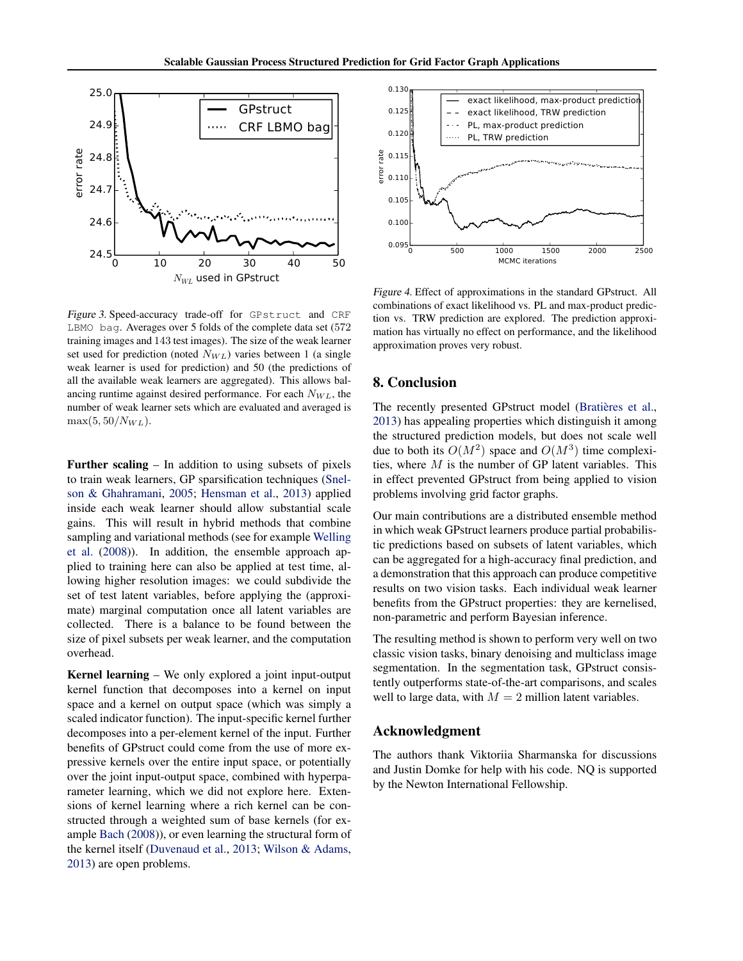<span id="page-7-0"></span>

Figure 3. Speed-accuracy trade-off for GPstruct and CRF LBMO bag. Averages over 5 folds of the complete data set (572 training images and 143 test images). The size of the weak learner set used for prediction (noted  $N_{WL}$ ) varies between 1 (a single weak learner is used for prediction) and 50 (the predictions of all the available weak learners are aggregated). This allows balancing runtime against desired performance. For each  $N_{WL}$ , the number of weak learner sets which are evaluated and averaged is  $max(5, 50/N_{WL}).$ 

Further scaling – In addition to using subsets of pixels to train weak learners, GP sparsification techniques [\(Snel](#page-8-0)[son & Ghahramani,](#page-8-0) [2005;](#page-8-0) [Hensman et al.,](#page-8-0) [2013\)](#page-8-0) applied inside each weak learner should allow substantial scale gains. This will result in hybrid methods that combine sampling and variational methods (see for example [Welling](#page-8-0) [et al.](#page-8-0) [\(2008\)](#page-8-0)). In addition, the ensemble approach applied to training here can also be applied at test time, allowing higher resolution images: we could subdivide the set of test latent variables, before applying the (approximate) marginal computation once all latent variables are collected. There is a balance to be found between the size of pixel subsets per weak learner, and the computation overhead.

Kernel learning – We only explored a joint input-output kernel function that decomposes into a kernel on input space and a kernel on output space (which was simply a scaled indicator function). The input-specific kernel further decomposes into a per-element kernel of the input. Further benefits of GPstruct could come from the use of more expressive kernels over the entire input space, or potentially over the joint input-output space, combined with hyperparameter learning, which we did not explore here. Extensions of kernel learning where a rich kernel can be constructed through a weighted sum of base kernels (for example [Bach](#page-8-0) [\(2008\)](#page-8-0)), or even learning the structural form of the kernel itself [\(Duvenaud et al.,](#page-8-0) [2013;](#page-8-0) [Wilson & Adams,](#page-8-0) [2013\)](#page-8-0) are open problems.



Figure 4. Effect of approximations in the standard GPstruct. All combinations of exact likelihood vs. PL and max-product prediction vs. TRW prediction are explored. The prediction approximation has virtually no effect on performance, and the likelihood approximation proves very robust.

# 8. Conclusion

The recently presented GPstruct model (Bratières et al., [2013\)](#page-8-0) has appealing properties which distinguish it among the structured prediction models, but does not scale well due to both its  $O(M^2)$  space and  $O(M^3)$  time complexities, where  $M$  is the number of GP latent variables. This in effect prevented GPstruct from being applied to vision problems involving grid factor graphs.

Our main contributions are a distributed ensemble method in which weak GPstruct learners produce partial probabilistic predictions based on subsets of latent variables, which can be aggregated for a high-accuracy final prediction, and a demonstration that this approach can produce competitive results on two vision tasks. Each individual weak learner benefits from the GPstruct properties: they are kernelised, non-parametric and perform Bayesian inference.

The resulting method is shown to perform very well on two classic vision tasks, binary denoising and multiclass image segmentation. In the segmentation task, GPstruct consistently outperforms state-of-the-art comparisons, and scales well to large data, with  $M = 2$  million latent variables.

### Acknowledgment

The authors thank Viktoriia Sharmanska for discussions and Justin Domke for help with his code. NQ is supported by the Newton International Fellowship.